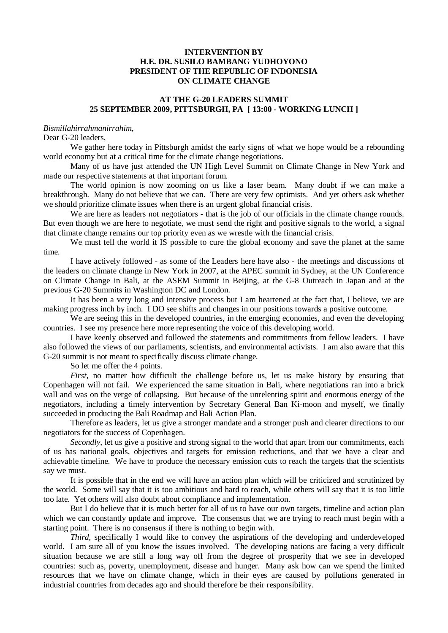## **INTERVENTION BY H.E. DR. SUSILO BAMBANG YUDHOYONO PRESIDENT OF THE REPUBLIC OF INDONESIA ON CLIMATE CHANGE**

## **AT THE G-20 LEADERS SUMMIT 25 SEPTEMBER 2009, PITTSBURGH, PA [ 13:00 - WORKING LUNCH ]**

## *Bismillahirrahmanirrahim,*

## Dear G-20 leaders

We gather here today in Pittsburgh amidst the early signs of what we hope would be a rebounding world economy but at a critical time for the climate change negotiations.

Many of us have just attended the UN High Level Summit on Climate Change in New York and made our respective statements at that important forum.

The world opinion is now zooming on us like a laser beam. Many doubt if we can make a breakthrough. Many do not believe that we can. There are very few optimists. And yet others ask whether we should prioritize climate issues when there is an urgent global financial crisis.

We are here as leaders not negotiators - that is the job of our officials in the climate change rounds. But even though we are here to negotiate, we must send the right and positive signals to the world, a signal that climate change remains our top priority even as we wrestle with the financial crisis.

We must tell the world it IS possible to cure the global economy and save the planet at the same time.

I have actively followed - as some of the Leaders here have also - the meetings and discussions of the leaders on climate change in New York in 2007, at the APEC summit in Sydney, at the UN Conference on Climate Change in Bali, at the ASEM Summit in Beijing, at the G-8 Outreach in Japan and at the previous G-20 Summits in Washington DC and London.

It has been a very long and intensive process but I am heartened at the fact that, I believe, we are making progress inch by inch. I DO see shifts and changes in our positions towards a positive outcome.

We are seeing this in the developed countries, in the emerging economies, and even the developing countries. I see my presence here more representing the voice of this developing world.

I have keenly observed and followed the statements and commitments from fellow leaders. I have also followed the views of our parliaments, scientists, and environmental activists. I am also aware that this G-20 summit is not meant to specifically discuss climate change.

So let me offer the 4 points.

*First,* no matter how difficult the challenge before us, let us make history by ensuring that Copenhagen will not fail. We experienced the same situation in Bali, where negotiations ran into a brick wall and was on the verge of collapsing. But because of the unrelenting spirit and enormous energy of the negotiators, including a timely intervention by Secretary General Ban Ki-moon and myself, we finally succeeded in producing the Bali Roadmap and Bali Action Plan.

Therefore as leaders, let us give a stronger mandate and a stronger push and clearer directions to our negotiators for the success of Copenhagen.

*Secondly*, let us give a positive and strong signal to the world that apart from our commitments, each of us has national goals, objectives and targets for emission reductions, and that we have a clear and achievable timeline. We have to produce the necessary emission cuts to reach the targets that the scientists say we must.

It is possible that in the end we will have an action plan which will be criticized and scrutinized by the world. Some will say that it is too ambitious and hard to reach, while others will say that it is too little too late. Yet others will also doubt about compliance and implementation.

But I do believe that it is much better for all of us to have our own targets, timeline and action plan which we can constantly update and improve. The consensus that we are trying to reach must begin with a starting point. There is no consensus if there is nothing to begin with.

*Third,* specifically I would like to convey the aspirations of the developing and underdeveloped world. I am sure all of you know the issues involved. The developing nations are facing a very difficult situation because we are still a long way off from the degree of prosperity that we see in developed countries: such as, poverty, unemployment, disease and hunger. Many ask how can we spend the limited resources that we have on climate change, which in their eyes are caused by pollutions generated in industrial countries from decades ago and should therefore be their responsibility.